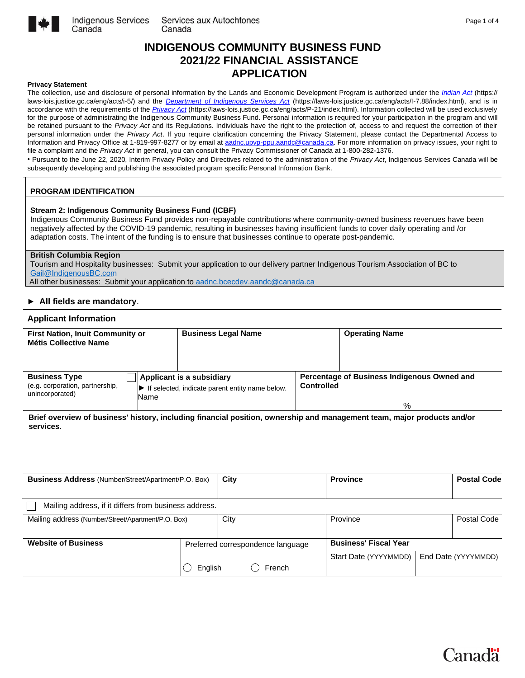

## **INDIGENOUS COMMUNITY BUSINESS FUND 2021/22 FINANCIAL ASSISTANCE APPLICATION**

#### **Privacy Statement**

The collection, use and disclosure of personal information by the Lands and Economic Development Program is authorized under the *[Indian Act](https://laws-lois.justice.gc.ca/eng/acts/i-5/)* (https:// laws-lois.justice.gc.ca/eng/acts/i-5/) and the *[Department](https://laws-lois.justice.gc.ca/eng/acts/I-7.88/index.html) [of](https://laws-lois.justice.gc.ca/eng/acts/I-7.88/index.html) [Indigenous](https://laws-lois.justice.gc.ca/eng/acts/I-7.88/index.html) [Services](https://laws-lois.justice.gc.ca/eng/acts/I-7.88/index.html) [Act](https://laws-lois.justice.gc.ca/eng/acts/I-7.88/index.html)* (https://laws-lois.justice.gc.ca/eng/acts/I-7.88/index.html), and is in accordance with the requirements of the *[Privacy Act](https://laws-lois.justice.gc.ca/eng/acts/P-21/index.html)* (https://laws-lois.justice.gc.ca/eng/acts/P-21/index.html). Information collected will be used exclusively for the purpose of administrating the Indigenous Community Business Fund. Personal information is required for your participation in the program and will be retained pursuant to the *Privacy Act* and its Regulations. Individuals have the right to the protection of, access to and request the correction of their personal information under the *Privacy Act*. If you require clarification concerning the Privacy Statement, please contact the Departmental Access to Information and Privacy Office at 1-819-997-8277 or by email at [aadnc.upvp-ppu.aandc@canada.ca.](mailto:aadnc.upvp-ppu.aandc@canada.ca) For more information on privacy issues, your right to file a complaint and the *Privacy Act* in general, you can consult the Privacy Commissioner of Canada at 1-800-282-1376.

• Pursuant to the June 22, 2020, Interim Privacy Policy and Directives related to the administration of the *Privacy Act*, Indigenous Services Canada will be subsequently developing and publishing the associated program specific Personal Information Bank.

### **PROGRAM IDENTIFICATION**

Canada

#### **Stream 2: Indigenous Community Business Fund (ICBF)**

Indigenous Community Business Fund provides non-repayable contributions where community-owned business revenues have been negatively affected by the COVID-19 pandemic, resulting in businesses having insufficient funds to cover daily operating and /or adaptation costs. The intent of the funding is to ensure that businesses continue to operate post-pandemic.

#### **British Columbia Region**

Tourism and Hospitality businesses: Submit your application to our delivery partner Indigenous Tourism Association of BC to Gail@I[ndigenous](mailto:Gail@IndigenousBC.com)BC.com

All other businesses: Submit your application to [aadnc.bcecdev.aandc@canada.ca](mailto:aadnc.bcecdev.aandc@canada.ca)

#### **► All fields are mandatory**.

#### **Applicant Information**

| <b>First Nation, Inuit Community or</b><br><b>Métis Collective Name</b>    |      | <b>Business Legal Name</b>                                                   |                   | <b>Operating Name</b>                                                                                                |
|----------------------------------------------------------------------------|------|------------------------------------------------------------------------------|-------------------|----------------------------------------------------------------------------------------------------------------------|
| <b>Business Type</b><br>(e.g. corporation, partnership,<br>unincorporated) | Name | Applicant is a subsidiary<br>If selected, indicate parent entity name below. | <b>Controlled</b> | Percentage of Business Indigenous Owned and<br>%                                                                     |
|                                                                            |      |                                                                              |                   | Rrief overview of business' history including financial position ownership and management team major products and/or |

**Brief overview of business' history, including financial position, ownership and management team, major products and/or services**.

| <b>Business Address</b> (Number/Street/Apartment/P.O. Box) |         | City |                                             | <b>Province</b>                                       | <b>Postal Code</b>  |
|------------------------------------------------------------|---------|------|---------------------------------------------|-------------------------------------------------------|---------------------|
| Mailing address, if it differs from business address.      |         |      |                                             |                                                       |                     |
| Mailing address (Number/Street/Apartment/P.O. Box)         |         | City |                                             | Province                                              | Postal Code         |
| <b>Website of Business</b>                                 | English |      | Preferred correspondence language<br>French | <b>Business' Fiscal Year</b><br>Start Date (YYYYMMDD) | End Date (YYYYMMDD) |
|                                                            |         |      |                                             |                                                       |                     |

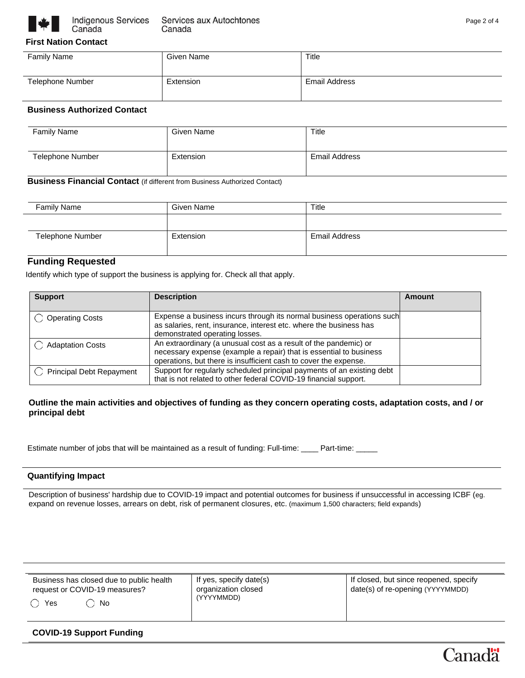

## **First Nation Contact**

| <b>Family Name</b>      | Given Name | Title         |
|-------------------------|------------|---------------|
| <b>Telephone Number</b> | Extension  | Email Address |

## **Business Authorized Contact**

| Family Name      | Given Name | Title         |
|------------------|------------|---------------|
| Telephone Number | Extension  | Email Address |

**Business Financial Contact** (if different from Business Authorized Contact)

| <b>Family Name</b>      | Given Name | Title         |
|-------------------------|------------|---------------|
|                         |            |               |
| <b>Telephone Number</b> | Extension  | Email Address |

## **Funding Requested**

Identify which type of support the business is applying for. Check all that apply.

| <b>Support</b>                  | <b>Description</b>                                                                                                                                                                                         | Amount |
|---------------------------------|------------------------------------------------------------------------------------------------------------------------------------------------------------------------------------------------------------|--------|
| <b>Operating Costs</b>          | Expense a business incurs through its normal business operations such<br>as salaries, rent, insurance, interest etc. where the business has<br>demonstrated operating losses.                              |        |
| <b>Adaptation Costs</b>         | An extraordinary (a unusual cost as a result of the pandemic) or<br>necessary expense (example a repair) that is essential to business<br>operations, but there is insufficient cash to cover the expense. |        |
| <b>Principal Debt Repayment</b> | Support for regularly scheduled principal payments of an existing debt<br>that is not related to other federal COVID-19 financial support.                                                                 |        |

## **Outline the main activities and objectives of funding as they concern operating costs, adaptation costs, and / or principal debt**

Estimate number of jobs that will be maintained as a result of funding: Full-time: \_\_\_\_ Part-time: \_\_\_\_

## **Quantifying Impact**

Description of business' hardship due to COVID-19 impact and potential outcomes for business if unsuccessful in accessing ICBF (eg. expand on revenue losses, arrears on debt, risk of permanent closures, etc. (maximum 1,500 characters; field expands)

| Business has closed due to public health | If yes, specify date(s) | If closed, but since reopened, specify |  |
|------------------------------------------|-------------------------|----------------------------------------|--|
| request or COVID-19 measures?            | organization closed     | date(s) of re-opening (YYYYMMDD)       |  |
| Yes<br>No                                | (YYYYMMDD)              |                                        |  |

## **COVID-19 Support Funding**

Canadä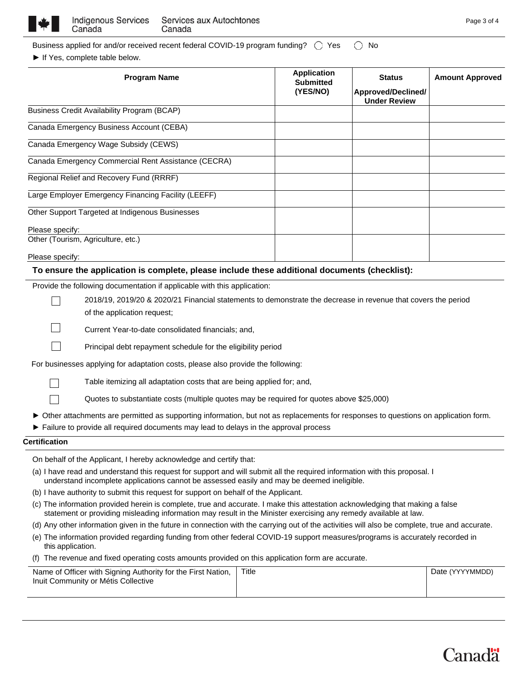

| Business applied for and/or received recent federal COVID-19 program funding? $\;\bigcirc\;$ Yes $\;\;\bigcirc\;$ No |  |
|----------------------------------------------------------------------------------------------------------------------|--|
|----------------------------------------------------------------------------------------------------------------------|--|

► If Yes, complete table below.

| <b>Program Name</b>                                                                                           | <b>Application</b><br><b>Submitted</b><br>(YES/NO) | <b>Status</b><br>Approved/Declined/<br><b>Under Review</b> | <b>Amount Approved</b> |
|---------------------------------------------------------------------------------------------------------------|----------------------------------------------------|------------------------------------------------------------|------------------------|
| <b>Business Credit Availability Program (BCAP)</b>                                                            |                                                    |                                                            |                        |
| Canada Emergency Business Account (CEBA)                                                                      |                                                    |                                                            |                        |
| Canada Emergency Wage Subsidy (CEWS)                                                                          |                                                    |                                                            |                        |
| Canada Emergency Commercial Rent Assistance (CECRA)                                                           |                                                    |                                                            |                        |
| Regional Relief and Recovery Fund (RRRF)                                                                      |                                                    |                                                            |                        |
| Large Employer Emergency Financing Facility (LEEFF)                                                           |                                                    |                                                            |                        |
| Other Support Targeted at Indigenous Businesses                                                               |                                                    |                                                            |                        |
| Please specify:                                                                                               |                                                    |                                                            |                        |
| Other (Tourism, Agriculture, etc.)                                                                            |                                                    |                                                            |                        |
| Please specify:                                                                                               |                                                    |                                                            |                        |
| To ensure the application is complete, please include these additional documents (checklist):                 |                                                    |                                                            |                        |
| Provide the following documentation if applicable with this application:                                      |                                                    |                                                            |                        |
| 2018/19, 2019/20 & 2020/21 Financial statements to demonstrate the decrease in revenue that covers the period |                                                    |                                                            |                        |
| of the application request;                                                                                   |                                                    |                                                            |                        |
| Current Year-to-date consolidated financials; and,                                                            |                                                    |                                                            |                        |
| Principal debt repayment schedule for the eligibility period                                                  |                                                    |                                                            |                        |
| For businesses applying for adaptation costs, please also provide the following:                              |                                                    |                                                            |                        |
| Table itemizing all adaptation costs that are being applied for; and,                                         |                                                    |                                                            |                        |

Quotes to substantiate costs (multiple quotes may be required for quotes above \$25,000)

► Other attachments are permitted as supporting information, but not as replacements for responses to questions on application form.

**►** Failure to provide all required documents may lead to delays in the approval process

#### **Certification**

 $\Box$ 

On behalf of the Applicant, I hereby acknowledge and certify that:

- (a) I have read and understand this request for support and will submit all the required information with this proposal. I understand incomplete applications cannot be assessed easily and may be deemed ineligible.
- (b) I have authority to submit this request for support on behalf of the Applicant.
- (c) The information provided herein is complete, true and accurate. I make this attestation acknowledging that making a false statement or providing misleading information may result in the Minister exercising any remedy available at law.
- (d) Any other information given in the future in connection with the carrying out of the activities will also be complete, true and accurate.
- (e) The information provided regarding funding from other federal COVID-19 support measures/programs is accurately recorded in this application.
- (f) The revenue and fixed operating costs amounts provided on this application form are accurate.

| Name of Officer with Signing Authority for the First Nation, | Title | Date (YYYYMMDD) |
|--------------------------------------------------------------|-------|-----------------|
| Inuit Community or Métis Collective                          |       |                 |
|                                                              |       |                 |